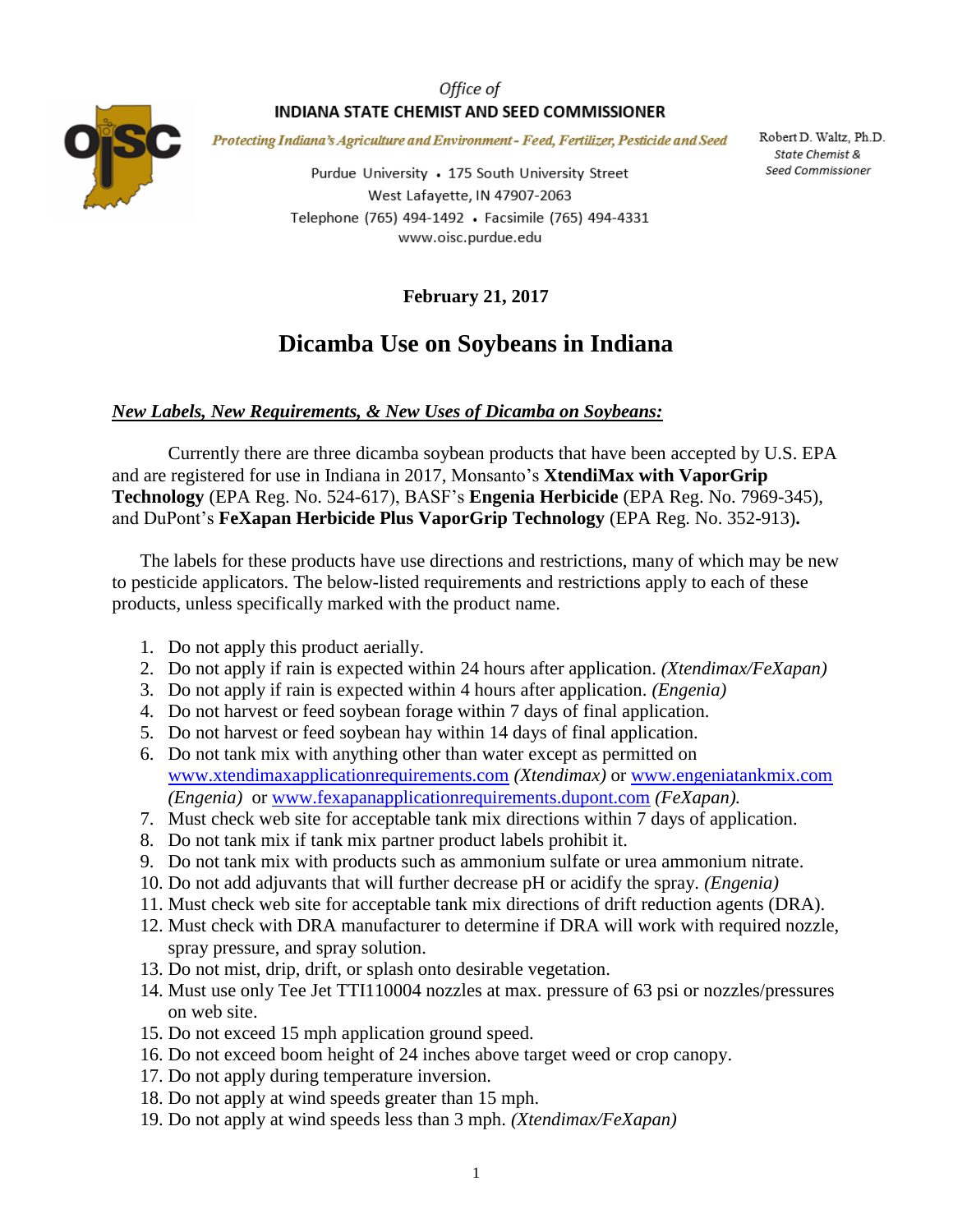### Office of INDIANA STATE CHEMIST AND SEED COMMISSIONER



Protecting Indiana's Agriculture and Environment - Feed, Fertilizer, Pesticide and Seed

Purdue University • 175 South University Street West Lafayette, IN 47907-2063 Telephone (765) 494-1492 · Facsimile (765) 494-4331 www.oisc.purdue.edu

Robert D. Waltz, Ph.D. State Chemist & Seed Commissioner

**February 21, 2017**

# **Dicamba Use on Soybeans in Indiana**

#### *New Labels, New Requirements, & New Uses of Dicamba on Soybeans:*

Currently there are three dicamba soybean products that have been accepted by U.S. EPA and are registered for use in Indiana in 2017, Monsanto's **XtendiMax with VaporGrip Technology** (EPA Reg. No. 524-617), BASF's **Engenia Herbicide** (EPA Reg. No. 7969-345), and DuPont's **FeXapan Herbicide Plus VaporGrip Technology** (EPA Reg. No. 352-913)**.** 

The labels for these products have use directions and restrictions, many of which may be new to pesticide applicators. The below-listed requirements and restrictions apply to each of these products, unless specifically marked with the product name.

- 1. Do not apply this product aerially.
- 2. Do not apply if rain is expected within 24 hours after application. *(Xtendimax/FeXapan)*
- 3. Do not apply if rain is expected within 4 hours after application. *(Engenia)*
- 4. Do not harvest or feed soybean forage within 7 days of final application.
- 5. Do not harvest or feed soybean hay within 14 days of final application.
- 6. Do not tank mix with anything other than water except as permitted on [www.xtendimaxapplicationrequirements.com](http://www.xtendimaxapplicationrequirements.com/) *(Xtendimax)* or [www.engeniatankmix.com](http://www.engeniatankmix.com/) *(Engenia)* or [www.fexapanapplicationrequirements.dupont.com](http://www.fexapanapplicationrequirements.dupont.com/) *(FeXapan).*
- 7. Must check web site for acceptable tank mix directions within 7 days of application.
- 8. Do not tank mix if tank mix partner product labels prohibit it.
- 9. Do not tank mix with products such as ammonium sulfate or urea ammonium nitrate.
- 10. Do not add adjuvants that will further decrease pH or acidify the spray. *(Engenia)*
- 11. Must check web site for acceptable tank mix directions of drift reduction agents (DRA).
- 12. Must check with DRA manufacturer to determine if DRA will work with required nozzle, spray pressure, and spray solution.
- 13. Do not mist, drip, drift, or splash onto desirable vegetation.
- 14. Must use only Tee Jet TTI110004 nozzles at max. pressure of 63 psi or nozzles/pressures on web site.
- 15. Do not exceed 15 mph application ground speed.
- 16. Do not exceed boom height of 24 inches above target weed or crop canopy.
- 17. Do not apply during temperature inversion.
- 18. Do not apply at wind speeds greater than 15 mph.
- 19. Do not apply at wind speeds less than 3 mph. *(Xtendimax/FeXapan)*